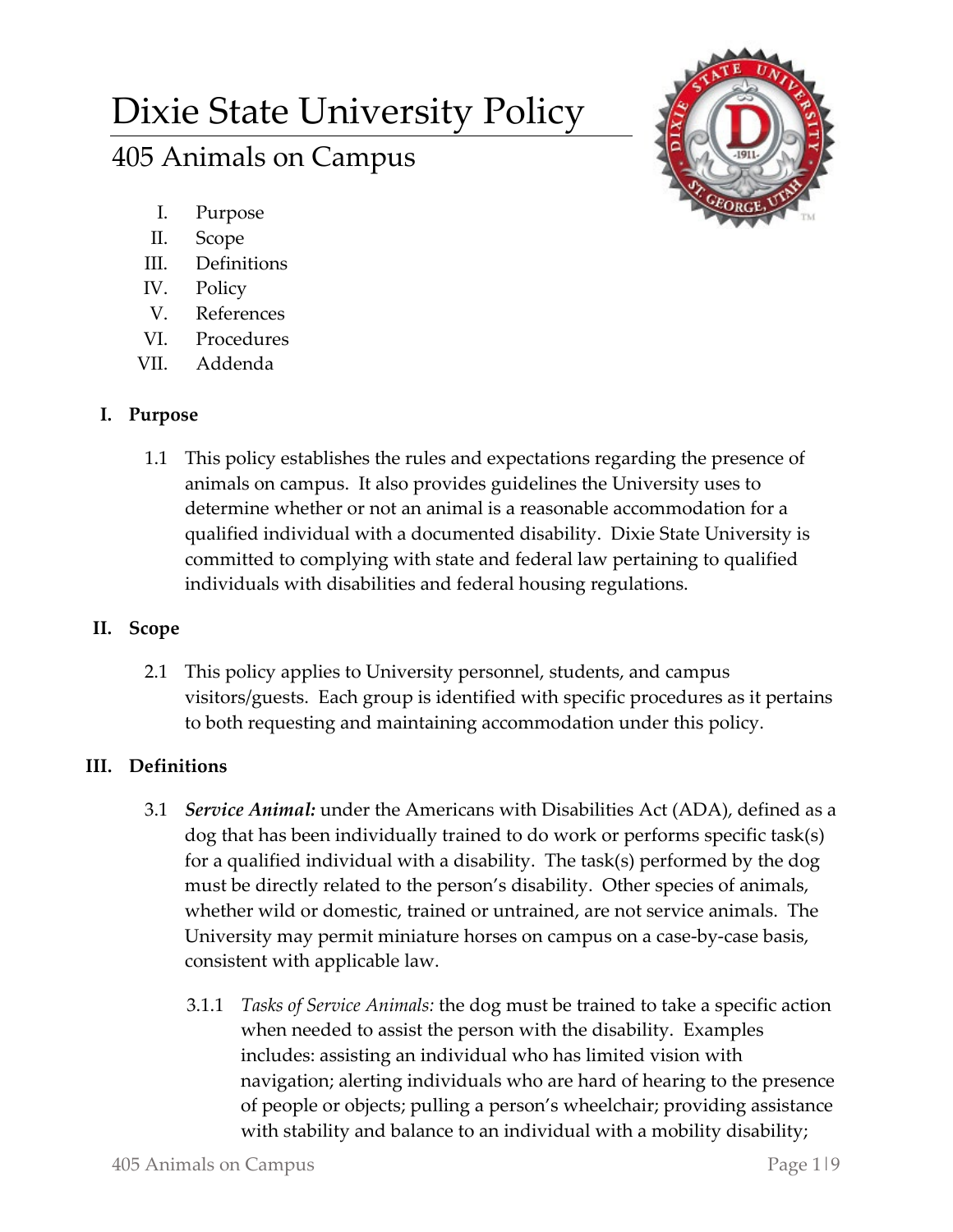# Dixie State University Policy

# 405 Animals on Campus



- I. Purpose
- II. Scope
- III. Definitions
- IV. Policy
- V. References
- VI. Procedures
- VII. Addenda

## **I. Purpose**

1.1 This policy establishes the rules and expectations regarding the presence of animals on campus. It also provides guidelines the University uses to determine whether or not an animal is a reasonable accommodation for a qualified individual with a documented disability. Dixie State University is committed to complying with state and federal law pertaining to qualified individuals with disabilities and federal housing regulations.

# **II. Scope**

2.1 This policy applies to University personnel, students, and campus visitors/guests. Each group is identified with specific procedures as it pertains to both requesting and maintaining accommodation under this policy.

# **III. Definitions**

- 3.1 *Service Animal:* under the Americans with Disabilities Act (ADA), defined as a dog that has been individually trained to do work or performs specific task(s) for a qualified individual with a disability. The task(s) performed by the dog must be directly related to the person's disability. Other species of animals, whether wild or domestic, trained or untrained, are not service animals. The University may permit miniature horses on campus on a case-by-case basis, consistent with applicable law.
	- 3.1.1 *Tasks of Service Animals:* the dog must be trained to take a specific action when needed to assist the person with the disability. Examples includes: assisting an individual who has limited vision with navigation; alerting individuals who are hard of hearing to the presence of people or objects; pulling a person's wheelchair; providing assistance with stability and balance to an individual with a mobility disability;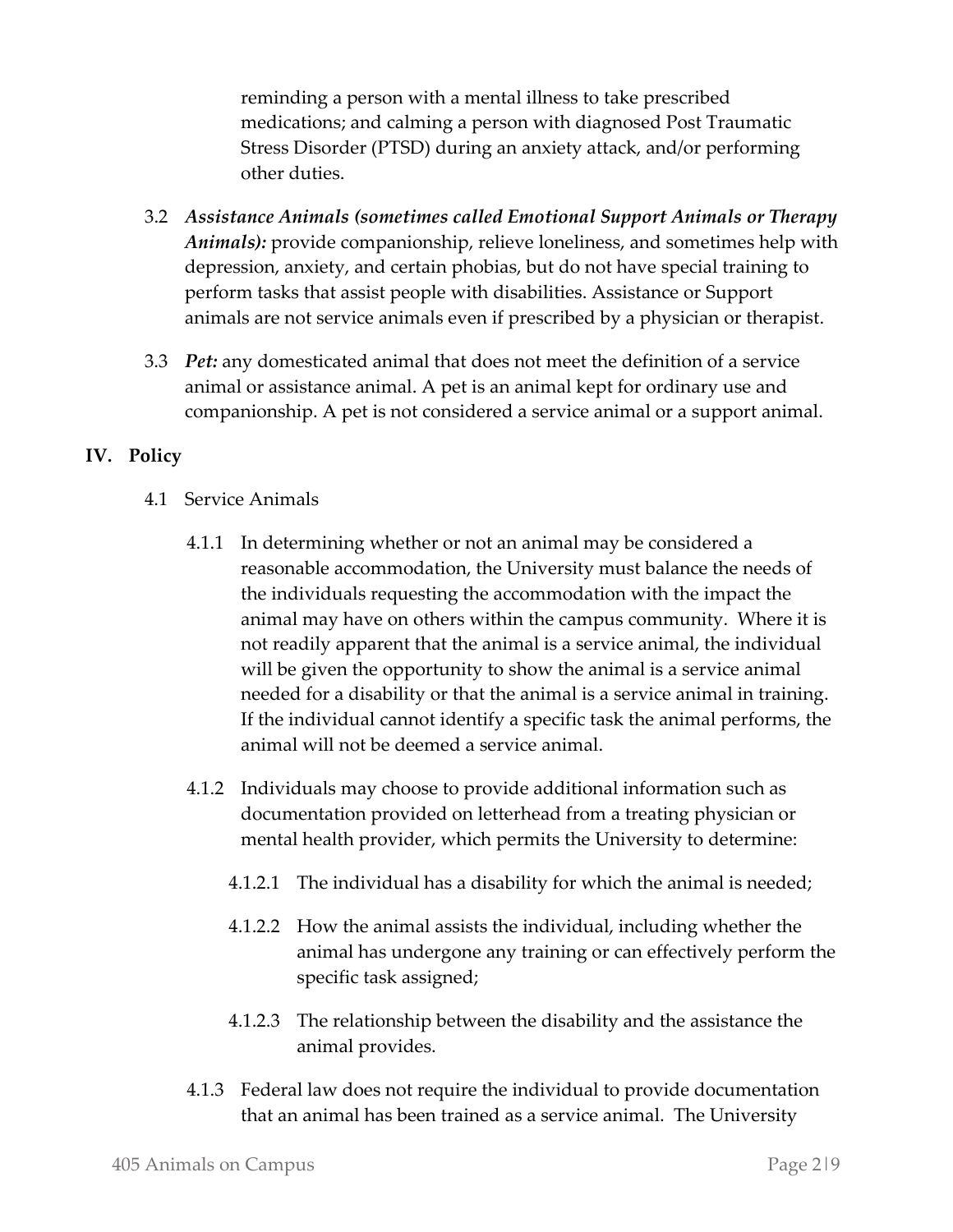reminding a person with a mental illness to take prescribed medications; and calming a person with diagnosed Post Traumatic Stress Disorder (PTSD) during an anxiety attack, and/or performing other duties.

- 3.2 *Assistance Animals (sometimes called Emotional Support Animals or Therapy Animals):* provide companionship, relieve loneliness, and sometimes help with depression, anxiety, and certain phobias, but do not have special training to perform tasks that assist people with disabilities. Assistance or Support animals are not service animals even if prescribed by a physician or therapist.
- 3.3 *Pet:* any domesticated animal that does not meet the definition of a service animal or assistance animal. A pet is an animal kept for ordinary use and companionship. A pet is not considered a service animal or a support animal.

### **IV. Policy**

- 4.1 Service Animals
	- 4.1.1 In determining whether or not an animal may be considered a reasonable accommodation, the University must balance the needs of the individuals requesting the accommodation with the impact the animal may have on others within the campus community. Where it is not readily apparent that the animal is a service animal, the individual will be given the opportunity to show the animal is a service animal needed for a disability or that the animal is a service animal in training. If the individual cannot identify a specific task the animal performs, the animal will not be deemed a service animal.
	- 4.1.2 Individuals may choose to provide additional information such as documentation provided on letterhead from a treating physician or mental health provider, which permits the University to determine:
		- 4.1.2.1 The individual has a disability for which the animal is needed;
		- 4.1.2.2 How the animal assists the individual, including whether the animal has undergone any training or can effectively perform the specific task assigned;
		- 4.1.2.3 The relationship between the disability and the assistance the animal provides.
	- 4.1.3 Federal law does not require the individual to provide documentation that an animal has been trained as a service animal. The University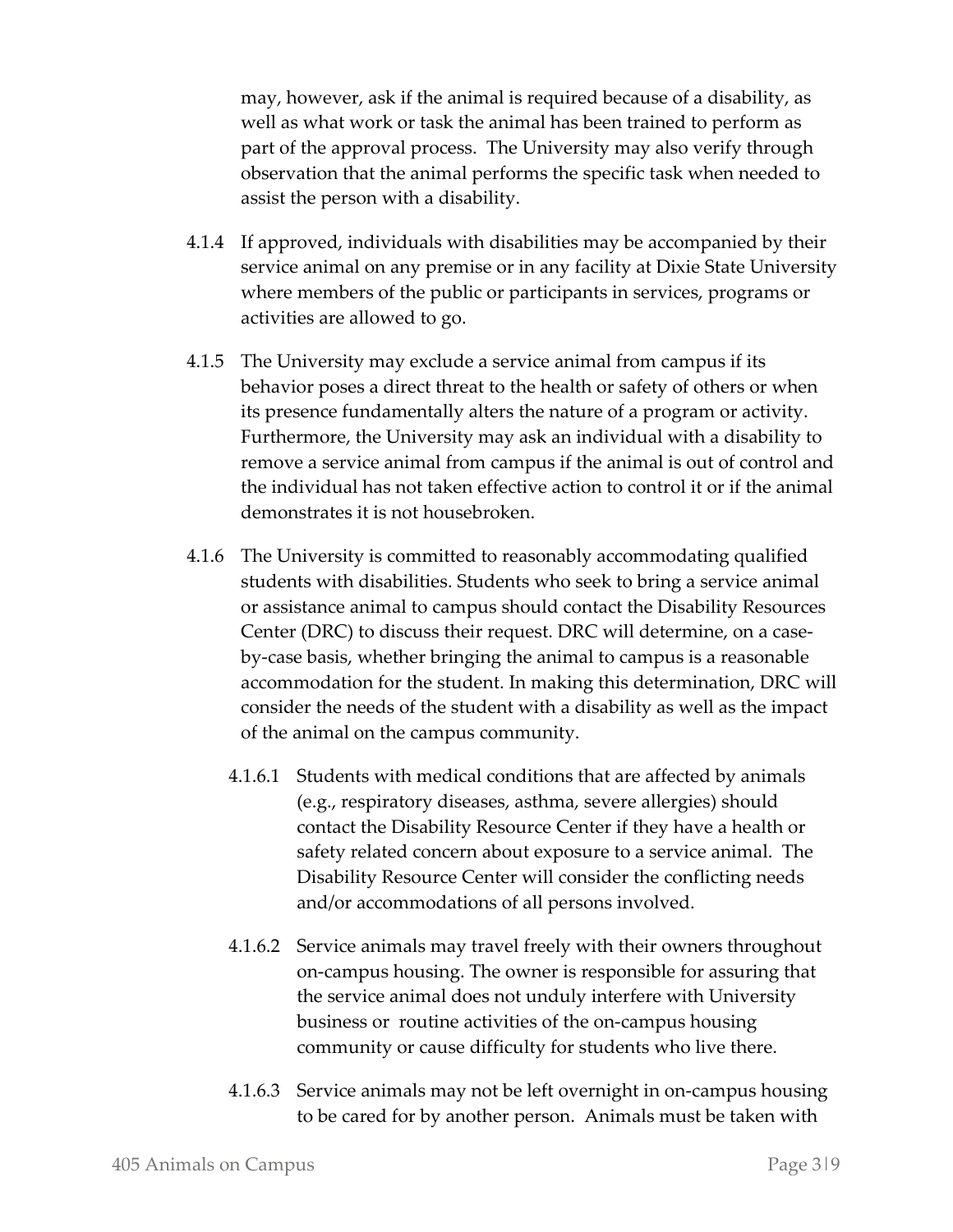may, however, ask if the animal is required because of a disability, as well as what work or task the animal has been trained to perform as part of the approval process. The University may also verify through observation that the animal performs the specific task when needed to assist the person with a disability.

- 4.1.4 If approved, individuals with disabilities may be accompanied by their service animal on any premise or in any facility at Dixie State University where members of the public or participants in services, programs or activities are allowed to go.
- 4.1.5 The University may exclude a service animal from campus if its behavior poses a direct threat to the health or safety of others or when its presence fundamentally alters the nature of a program or activity. Furthermore, the University may ask an individual with a disability to remove a service animal from campus if the animal is out of control and the individual has not taken effective action to control it or if the animal demonstrates it is not housebroken.
- 4.1.6 The University is committed to reasonably accommodating qualified students with disabilities. Students who seek to bring a service animal or assistance animal to campus should contact the Disability Resources Center (DRC) to discuss their request. DRC will determine, on a caseby-case basis, whether bringing the animal to campus is a reasonable accommodation for the student. In making this determination, DRC will consider the needs of the student with a disability as well as the impact of the animal on the campus community.
	- 4.1.6.1 Students with medical conditions that are affected by animals (e.g., respiratory diseases, asthma, severe allergies) should contact the Disability Resource Center if they have a health or safety related concern about exposure to a service animal. The Disability Resource Center will consider the conflicting needs and/or accommodations of all persons involved.
	- 4.1.6.2 Service animals may travel freely with their owners throughout on-campus housing. The owner is responsible for assuring that the service animal does not unduly interfere with University business or routine activities of the on-campus housing community or cause difficulty for students who live there.
	- 4.1.6.3 Service animals may not be left overnight in on-campus housing to be cared for by another person. Animals must be taken with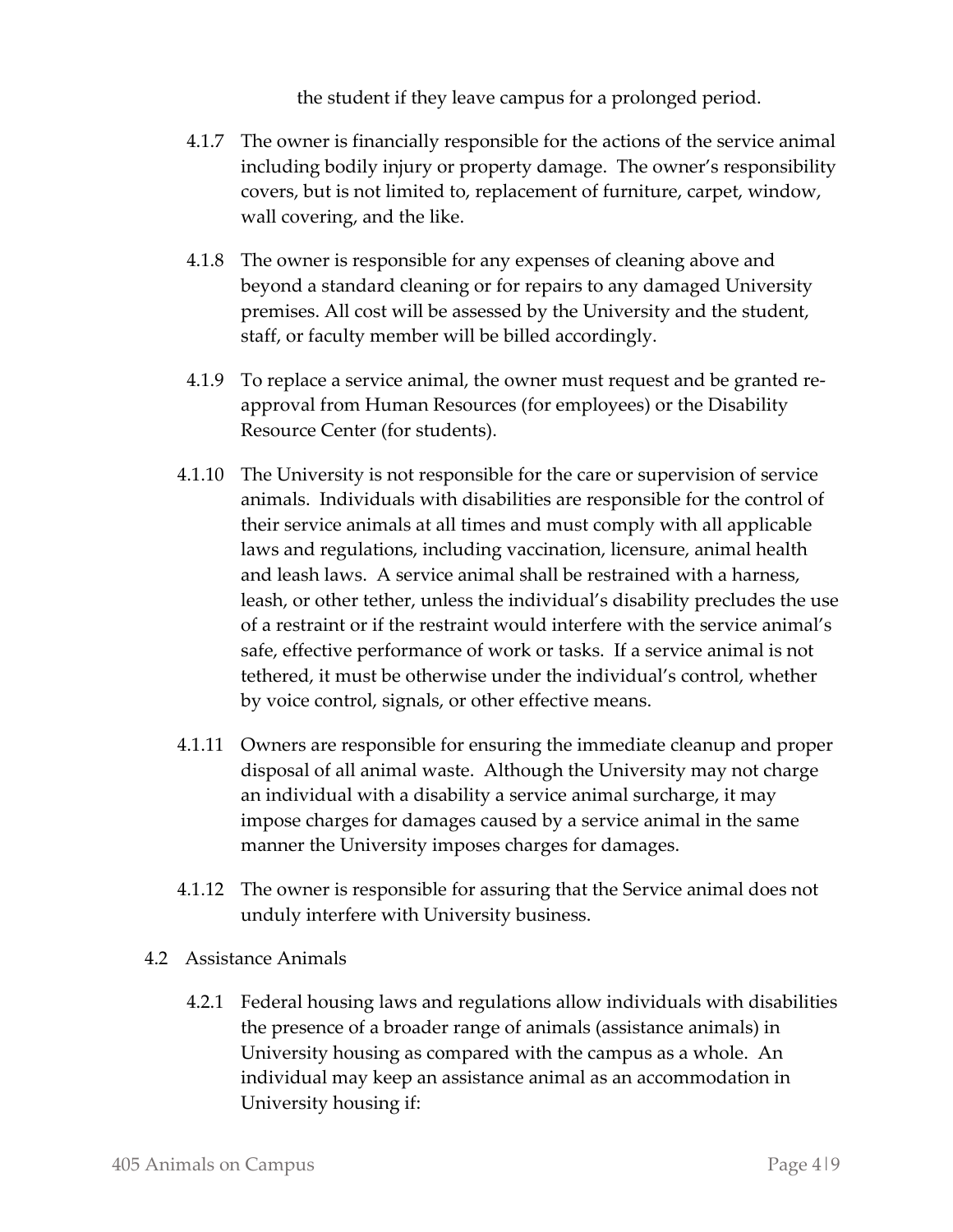the student if they leave campus for a prolonged period.

- 4.1.7 The owner is financially responsible for the actions of the service animal including bodily injury or property damage. The owner's responsibility covers, but is not limited to, replacement of furniture, carpet, window, wall covering, and the like.
- 4.1.8 The owner is responsible for any expenses of cleaning above and beyond a standard cleaning or for repairs to any damaged University premises. All cost will be assessed by the University and the student, staff, or faculty member will be billed accordingly.
- 4.1.9 To replace a service animal, the owner must request and be granted reapproval from Human Resources (for employees) or the Disability Resource Center (for students).
- 4.1.10 The University is not responsible for the care or supervision of service animals. Individuals with disabilities are responsible for the control of their service animals at all times and must comply with all applicable laws and regulations, including vaccination, licensure, animal health and leash laws. A service animal shall be restrained with a harness, leash, or other tether, unless the individual's disability precludes the use of a restraint or if the restraint would interfere with the service animal's safe, effective performance of work or tasks. If a service animal is not tethered, it must be otherwise under the individual's control, whether by voice control, signals, or other effective means.
- 4.1.11 Owners are responsible for ensuring the immediate cleanup and proper disposal of all animal waste. Although the University may not charge an individual with a disability a service animal surcharge, it may impose charges for damages caused by a service animal in the same manner the University imposes charges for damages.
- 4.1.12 The owner is responsible for assuring that the Service animal does not unduly interfere with University business.
- 4.2 Assistance Animals
	- 4.2.1 Federal housing laws and regulations allow individuals with disabilities the presence of a broader range of animals (assistance animals) in University housing as compared with the campus as a whole. An individual may keep an assistance animal as an accommodation in University housing if: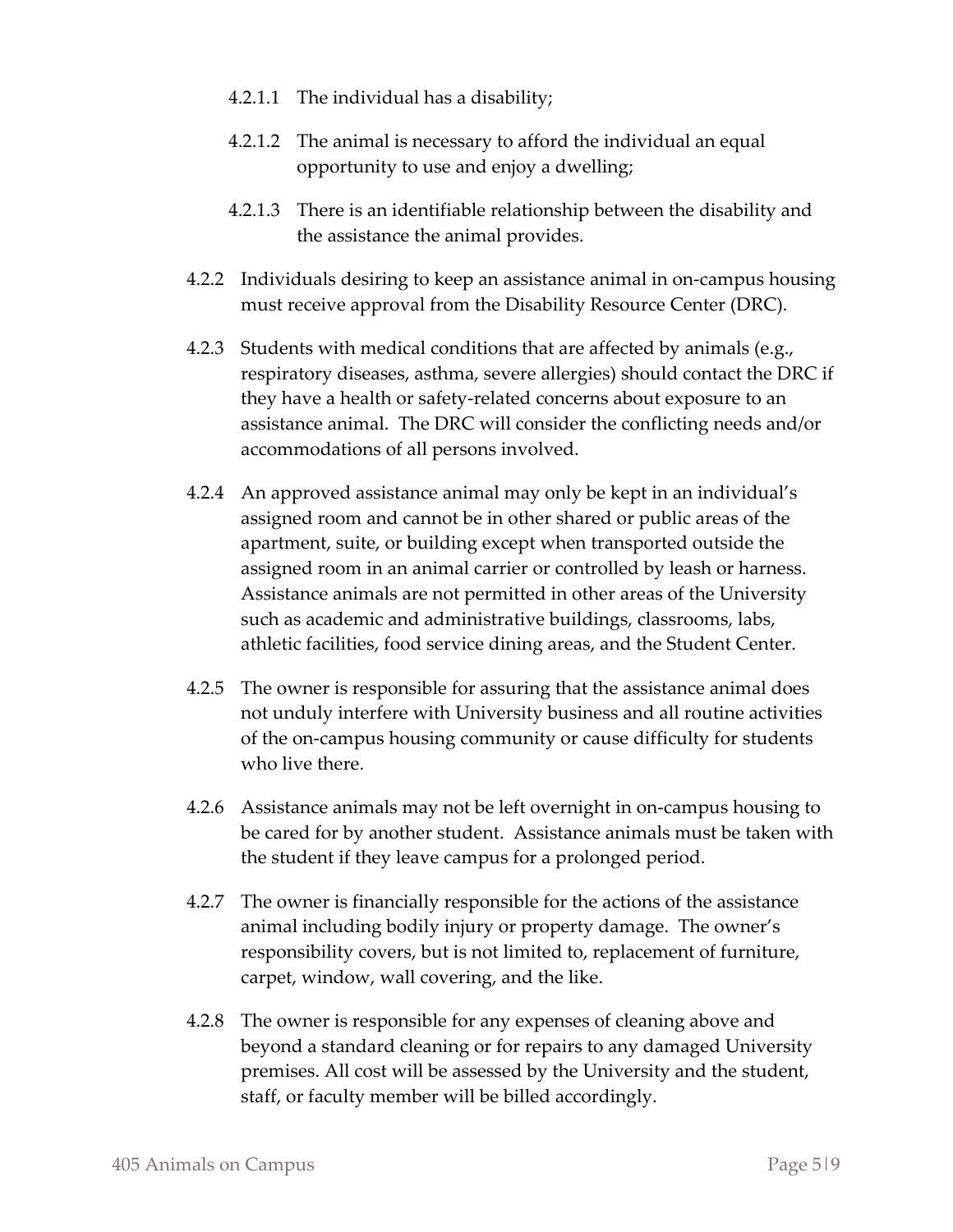- 4.2.1.1 The individual has a disability;
- 4.2.1.2 The animal is necessary to afford the individual an equal opportunity to use and enjoy a dwelling;
- 4.2.1.3 There is an identifiable relationship between the disability and the assistance the animal provides.
- 4.2.2 Individuals desiring to keep an assistance animal in on-campus housing must receive approval from the Disability Resource Center (DRC).
- 4.2.3 Students with medical conditions that are affected by animals (e.g., respiratory diseases, asthma, severe allergies) should contact the DRC if they have a health or safety-related concerns about exposure to an assistance animal. The DRC will consider the conflicting needs and/or accommodations of all persons involved.
- 4.2.4 An approved assistance animal may only be kept in an individual's assigned room and cannot be in other shared or public areas of the apartment, suite, or building except when transported outside the assigned room in an animal carrier or controlled by leash or harness. Assistance animals are not permitted in other areas of the University such as academic and administrative buildings, classrooms, labs, athletic facilities, food service dining areas, and the Student Center.
- 4.2.5 The owner is responsible for assuring that the assistance animal does not unduly interfere with University business and all routine activities of the on-campus housing community or cause difficulty for students who live there.
- 4.2.6 Assistance animals may not be left overnight in on-campus housing to be cared for by another student. Assistance animals must be taken with the student if they leave campus for a prolonged period.
- 4.2.7 The owner is financially responsible for the actions of the assistance animal including bodily injury or property damage. The owner's responsibility covers, but is not limited to, replacement of furniture, carpet, window, wall covering, and the like.
- 4.2.8 The owner is responsible for any expenses of cleaning above and beyond a standard cleaning or for repairs to any damaged University premises. All cost will be assessed by the University and the student, staff, or faculty member will be billed accordingly.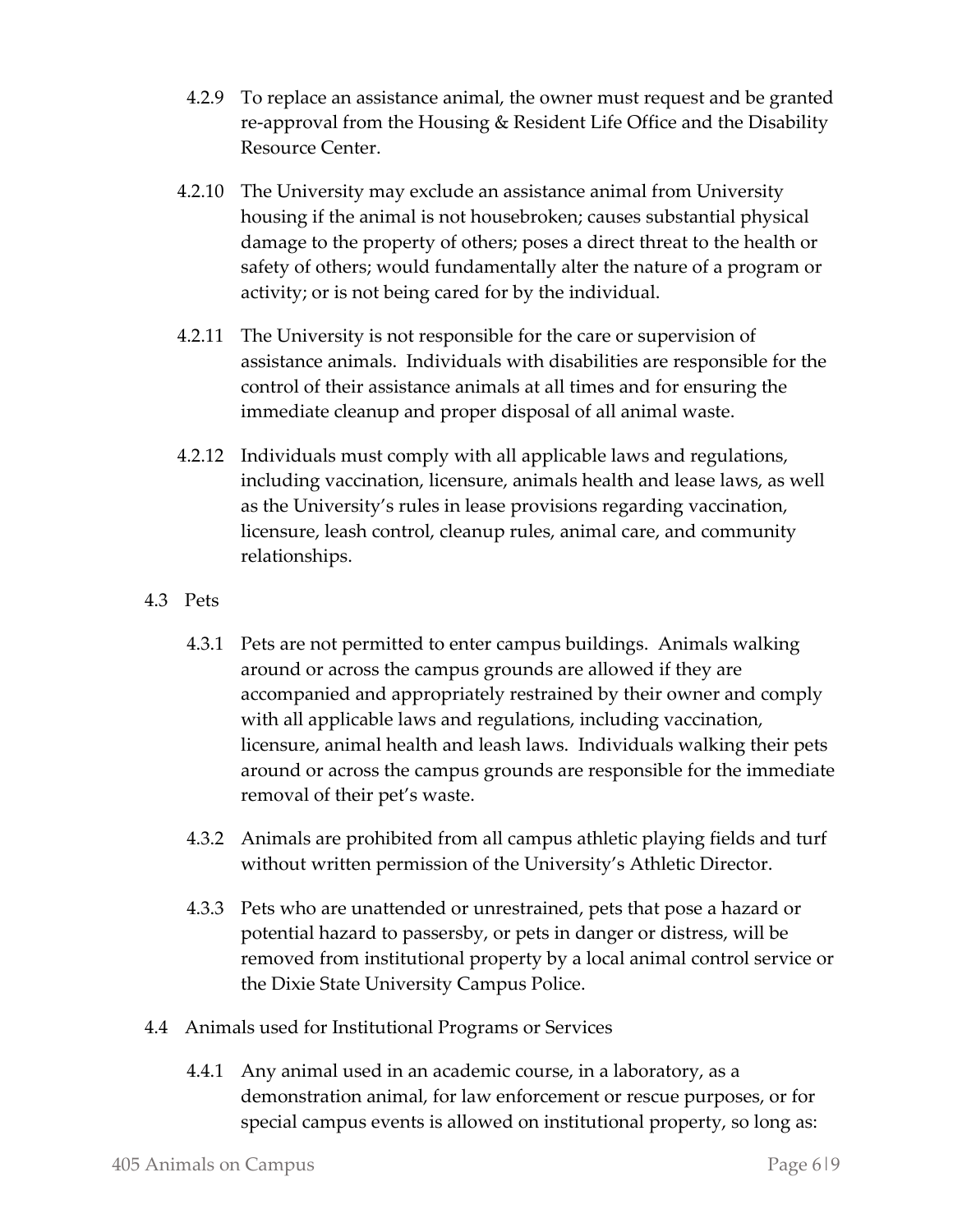- 4.2.9 To replace an assistance animal, the owner must request and be granted re-approval from the Housing & Resident Life Office and the Disability Resource Center.
- 4.2.10 The University may exclude an assistance animal from University housing if the animal is not housebroken; causes substantial physical damage to the property of others; poses a direct threat to the health or safety of others; would fundamentally alter the nature of a program or activity; or is not being cared for by the individual.
- 4.2.11 The University is not responsible for the care or supervision of assistance animals. Individuals with disabilities are responsible for the control of their assistance animals at all times and for ensuring the immediate cleanup and proper disposal of all animal waste.
- 4.2.12 Individuals must comply with all applicable laws and regulations, including vaccination, licensure, animals health and lease laws, as well as the University's rules in lease provisions regarding vaccination, licensure, leash control, cleanup rules, animal care, and community relationships.
- 4.3 Pets
	- 4.3.1 Pets are not permitted to enter campus buildings. Animals walking around or across the campus grounds are allowed if they are accompanied and appropriately restrained by their owner and comply with all applicable laws and regulations, including vaccination, licensure, animal health and leash laws. Individuals walking their pets around or across the campus grounds are responsible for the immediate removal of their pet's waste.
	- 4.3.2 Animals are prohibited from all campus athletic playing fields and turf without written permission of the University's Athletic Director.
	- 4.3.3 Pets who are unattended or unrestrained, pets that pose a hazard or potential hazard to passersby, or pets in danger or distress, will be removed from institutional property by a local animal control service or the Dixie State University Campus Police.
- 4.4 Animals used for Institutional Programs or Services
	- 4.4.1 Any animal used in an academic course, in a laboratory, as a demonstration animal, for law enforcement or rescue purposes, or for special campus events is allowed on institutional property, so long as: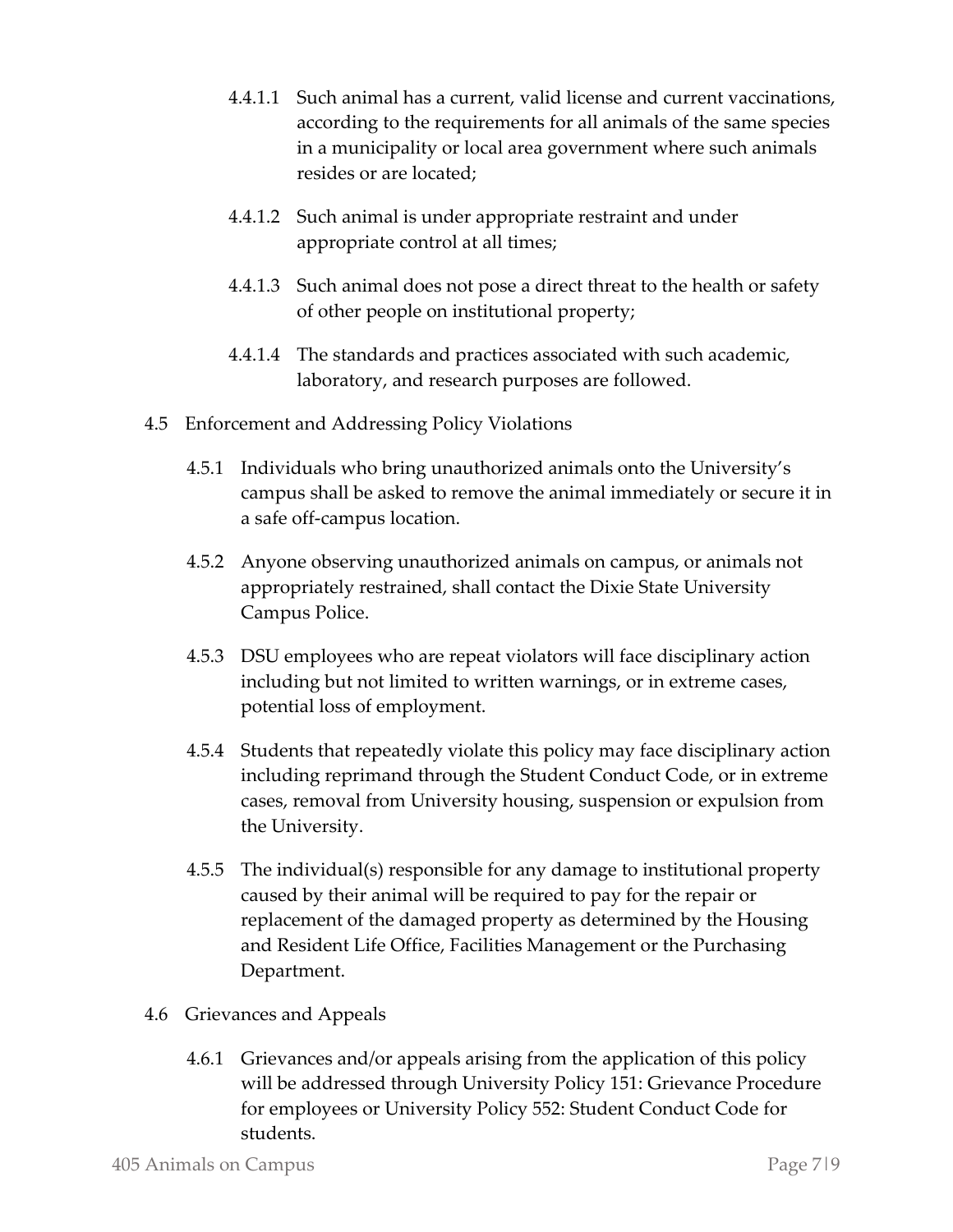- 4.4.1.1 Such animal has a current, valid license and current vaccinations, according to the requirements for all animals of the same species in a municipality or local area government where such animals resides or are located;
- 4.4.1.2 Such animal is under appropriate restraint and under appropriate control at all times;
- 4.4.1.3 Such animal does not pose a direct threat to the health or safety of other people on institutional property;
- 4.4.1.4 The standards and practices associated with such academic, laboratory, and research purposes are followed.
- 4.5 Enforcement and Addressing Policy Violations
	- 4.5.1 Individuals who bring unauthorized animals onto the University's campus shall be asked to remove the animal immediately or secure it in a safe off-campus location.
	- 4.5.2 Anyone observing unauthorized animals on campus, or animals not appropriately restrained, shall contact the Dixie State University Campus Police.
	- 4.5.3 DSU employees who are repeat violators will face disciplinary action including but not limited to written warnings, or in extreme cases, potential loss of employment.
	- 4.5.4 Students that repeatedly violate this policy may face disciplinary action including reprimand through the Student Conduct Code, or in extreme cases, removal from University housing, suspension or expulsion from the University.
	- 4.5.5 The individual(s) responsible for any damage to institutional property caused by their animal will be required to pay for the repair or replacement of the damaged property as determined by the Housing and Resident Life Office, Facilities Management or the Purchasing Department.
- 4.6 Grievances and Appeals
	- 4.6.1 Grievances and/or appeals arising from the application of this policy will be addressed through University Policy 151: Grievance Procedure for employees or University Policy 552: Student Conduct Code for students.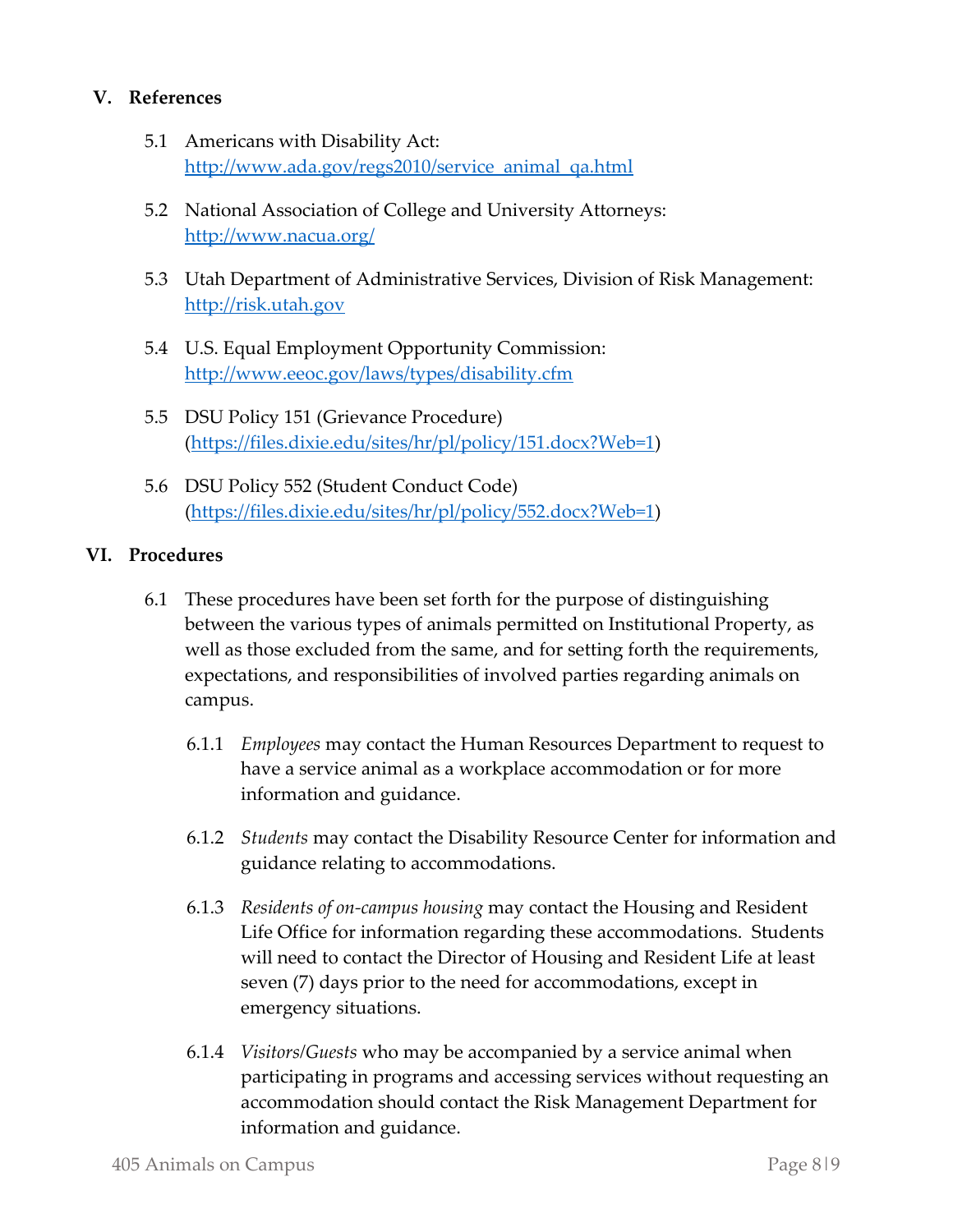#### **V. References**

- 5.1 Americans with Disability Act: [http://www.ada.gov/regs2010/service\\_animal\\_qa.html](http://www.ada.gov/regs2010/service_animal_qa.html)
- 5.2 National Association of College and University Attorneys: <http://www.nacua.org/>
- 5.3 Utah Department of Administrative Services, Division of Risk Management: [http://risk.utah.gov](http://risk.utah.gov/)
- 5.4 U.S. Equal Employment Opportunity Commission: <http://www.eeoc.gov/laws/types/disability.cfm>
- 5.5 DSU Policy 151 (Grievance Procedure) [\(https://files.dixie.edu/sites/hr/pl/policy/151.docx?Web=1\)](https://files.dixie.edu/sites/hr/pl/policy/151.docx?Web=1)
- 5.6 DSU Policy 552 (Student Conduct Code) [\(https://files.dixie.edu/sites/hr/pl/policy/552.docx?Web=1\)](https://files.dixie.edu/sites/hr/pl/policy/552.docx?Web=1)

#### **VI. Procedures**

- 6.1 These procedures have been set forth for the purpose of distinguishing between the various types of animals permitted on Institutional Property, as well as those excluded from the same, and for setting forth the requirements, expectations, and responsibilities of involved parties regarding animals on campus.
	- 6.1.1 *Employees* may contact the Human Resources Department to request to have a service animal as a workplace accommodation or for more information and guidance.
	- 6.1.2 *Students* may contact the Disability Resource Center for information and guidance relating to accommodations.
	- 6.1.3 *Residents of on-campus housing* may contact the Housing and Resident Life Office for information regarding these accommodations. Students will need to contact the Director of Housing and Resident Life at least seven (7) days prior to the need for accommodations, except in emergency situations.
	- 6.1.4 *Visitors/Guests* who may be accompanied by a service animal when participating in programs and accessing services without requesting an accommodation should contact the Risk Management Department for information and guidance.